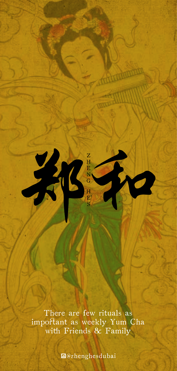

There are few rituals as important as weekly Yum Cha with Friends & Family